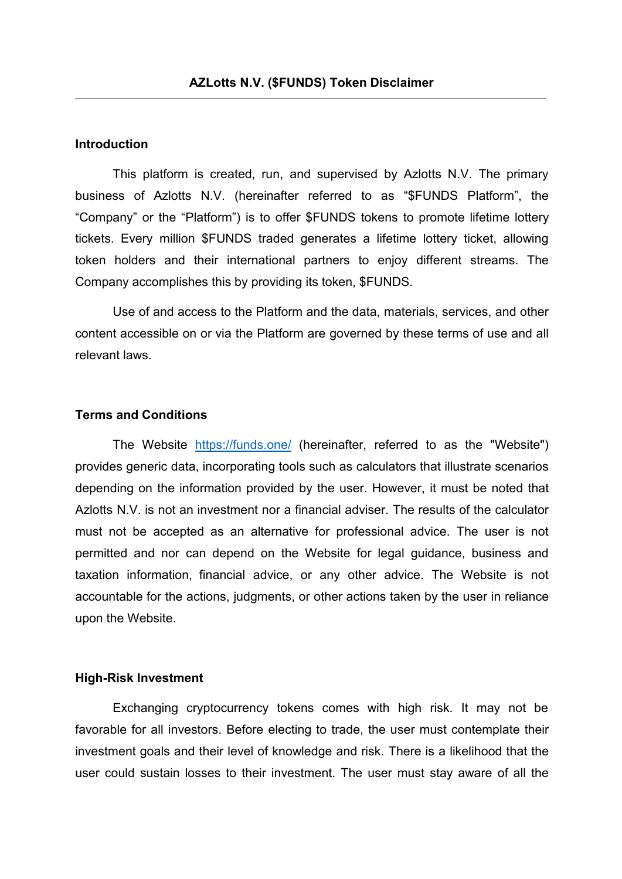# **Introduction**

This platform is created, run, and supervised by Azlotts N.V. The primary business of Azlotts N.V. (hereinafter referred to as "\$FUNDS Platform", the "Company" or the "Platform") is to offer \$FUNDS tokens to promote lifetime lottery tickets. Every million \$FUNDS traded generates a lifetime lottery ticket, allowing token holders and their international partners to enjoy different streams. The Company accomplishes this by providing its token, \$FUNDS.

Use of and access to the Platform and the data, materials, services, and other content accessible on or via the Platform are governed by these terms of use and all relevant laws.

# **Terms and Conditions**

The Website <https://funds.one/> (hereinafter, referred to as the "Website") provides generic data, incorporating tools such as calculators that illustrate scenarios depending on the information provided by the user. However, it must be noted that Azlotts N.V. is not an investment nor a financial adviser. The results of the calculator must not be accepted as an alternative for professional advice. The user is not permitted and nor can depend on the Website for legal guidance, business and taxation information, financial advice, or any other advice. The Website is not accountable for the actions, judgments, or other actions taken by the user in reliance upon the Website.

#### **High-Risk Investment**

Exchanging cryptocurrency tokens comes with high risk. It may not be favorable for all investors. Before electing to trade, the user must contemplate their investment goals and their level of knowledge and risk. There is a likelihood that the user could sustain losses to their investment. The user must stay aware of all the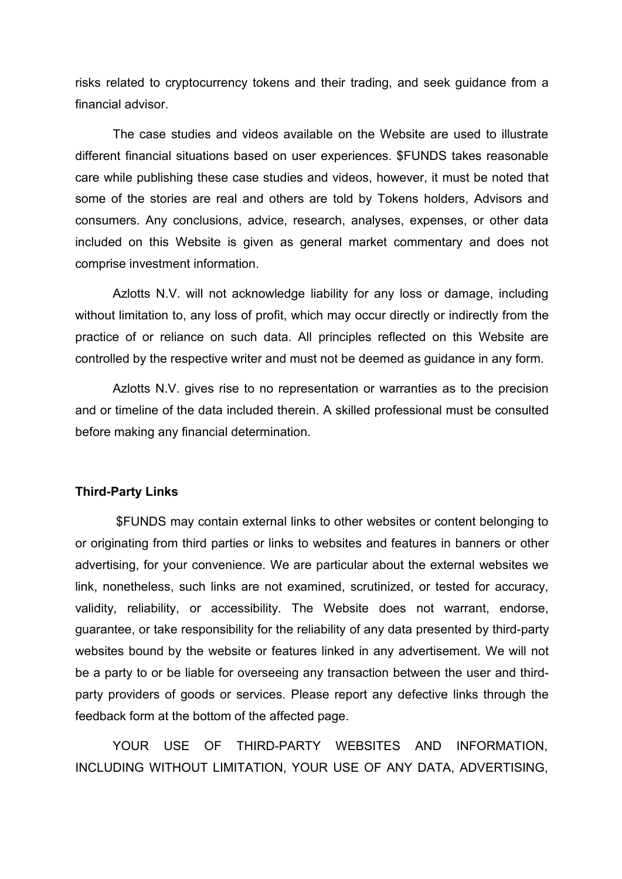risks related to cryptocurrency tokens and their trading, and seek guidance from a financial advisor.

The case studies and videos available on the Website are used to illustrate different financial situations based on user experiences. \$FUNDS takes reasonable care while publishing these case studies and videos, however, it must be noted that some of the stories are real and others are told by Tokens holders, Advisors and consumers. Any conclusions, advice, research, analyses, expenses, or other data included on this Website is given as general market commentary and does not comprise investment information.

Azlotts N.V. will not acknowledge liability for any loss or damage, including without limitation to, any loss of profit, which may occur directly or indirectly from the practice of or reliance on such data. All principles reflected on this Website are controlled by the respective writer and must not be deemed as guidance in any form.

Azlotts N.V. gives rise to no representation or warranties as to the precision and or timeline of the data included therein. A skilled professional must be consulted before making any financial determination.

# **Third-Party Links**

\$FUNDS may contain external links to other websites or content belonging to or originating from third parties or links to websites and features in banners or other advertising, for your convenience. We are particular about the external websites we link, nonetheless, such links are not examined, scrutinized, or tested for accuracy, validity, reliability, or accessibility. The Website does not warrant, endorse, guarantee, or take responsibility for the reliability ofany data presented by third-party websites bound by the website or features linked in any advertisement. We will not be a party to or be liable for overseeing any transaction between the user and third party providers of goods or services. Please report any defective links through the feedback form at the bottom of the affected page.

YOUR USE OF THIRD-PARTY WEBSITES AND INFORMATION, INCLUDING WITHOUT LIMITATION,YOUR USE OF ANY DATA, ADVERTISING,